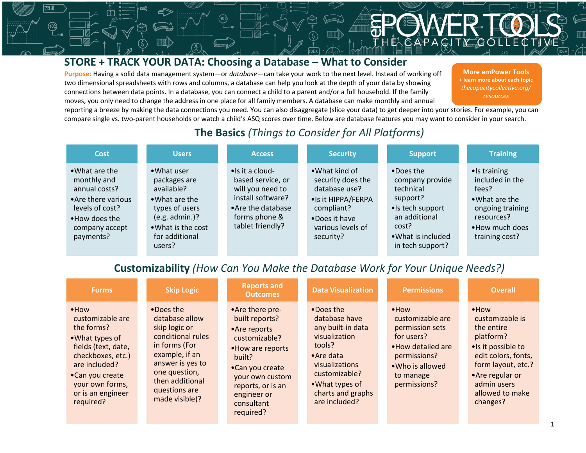## **STORE + TRACK YOUR DATA: Choosing a Database – What to Consider**

**Purpose:** Having a solid data management system—or *database*—can take your work to the next level. Instead of working off two dimensional spreadsheets with rows and columns, a database can help you look at the depth of your data by showing connections between data points. In a database, you can connect a child to a parent and/or a full household. If the family moves, you only need to change the address in one place for all family members. A database can make monthly and annual

**More emPower Tools + learn more about each topic** *thecapacitycollective.org/ resources*

reporting a breeze by making the data connections you need. You can also disaggregate (slice your data) to get deeper into your stories. For example, you can compare single vs. two-parent households or watch a child's ASQ scores over time. Below are database features you may want to consider in your search.

## **The Basics** *(Things to Consider for All Platforms)*

| Cost                                                                                                                                      | <b>Users</b>                                                                                                                                                | <b>Access</b>                                                                                                                                     | <b>Security</b>                                                                                                                              | <b>Support</b>                                                                                                                                          | <b>Training</b>                                                                                                                                    |
|-------------------------------------------------------------------------------------------------------------------------------------------|-------------------------------------------------------------------------------------------------------------------------------------------------------------|---------------------------------------------------------------------------------------------------------------------------------------------------|----------------------------------------------------------------------------------------------------------------------------------------------|---------------------------------------------------------------------------------------------------------------------------------------------------------|----------------------------------------------------------------------------------------------------------------------------------------------------|
| • What are the<br>monthly and<br>annual costs?<br>• Are there various<br>levels of cost?<br>• How does the<br>company accept<br>payments? | • What user<br>packages are<br>available?<br>$\bullet$ What are the<br>types of users<br>$(e.g.$ admin.)?<br>• What is the cost<br>for additional<br>users? | $\bullet$ Is it a cloud-<br>based service, or<br>will you need to<br>install software?<br>• Are the database<br>forms phone &<br>tablet friendly? | • What kind of<br>security does the<br>database use?<br>• Is it HIPPA/FERPA<br>compliant?<br>•Does it have<br>various levels of<br>security? | $\bullet$ Does the<br>company provide<br>technical<br>support?<br>• Is tech support<br>an additional<br>cost?<br>• What is included<br>in tech support? | $\bullet$ Is training<br>included in the<br>fees?<br>$\bullet$ What are the<br>ongoing training<br>resources?<br>• How much does<br>training cost? |

## **Customizability** *(How Can You Make the Database Work for Your Unique Needs?)*

| <b>Forms</b>                                                                                                                                                                                            | <b>Skip Logic</b>                                                                                                                                                                                        | <b>Reports and</b><br><b>Outcomes</b>                                                                                                                                                                  | <b>Data Visualization</b>                                                                                                                                                                             | <b>Permissions</b>                                                                                                                                        | <b>Overall</b>                                                                                                                                                                           |
|---------------------------------------------------------------------------------------------------------------------------------------------------------------------------------------------------------|----------------------------------------------------------------------------------------------------------------------------------------------------------------------------------------------------------|--------------------------------------------------------------------------------------------------------------------------------------------------------------------------------------------------------|-------------------------------------------------------------------------------------------------------------------------------------------------------------------------------------------------------|-----------------------------------------------------------------------------------------------------------------------------------------------------------|------------------------------------------------------------------------------------------------------------------------------------------------------------------------------------------|
| $\bullet$ How<br>customizable are<br>the forms?<br>• What types of<br>fields (text, date,<br>checkboxes, etc.)<br>are included?<br>•Can you create<br>your own forms,<br>or is an engineer<br>required? | $\bullet$ Does the<br>database allow<br>skip logic or<br>conditional rules<br>in forms (For<br>example, if an<br>answer is yes to<br>one question,<br>then additional<br>questions are<br>made visible)? | •Are there pre-<br>built reports?<br>•Are reports<br>customizable?<br>• How are reports<br>built?<br>•Can you create<br>your own custom<br>reports, or is an<br>engineer or<br>consultant<br>required? | $\bullet$ Does the<br>database have<br>any built-in data<br>visualization<br>tools?<br>$\bullet$ Are data<br>visualizations<br>customizable?<br>• What types of<br>charts and graphs<br>are included? | $\bullet$ How<br>customizable are<br>permission sets<br>for users?<br>. How detailed are<br>permissions?<br>• Who is allowed<br>to manage<br>permissions? | ehow<br>customizable is<br>the entire<br>platform?<br>• Is it possible to<br>edit colors, fonts,<br>form layout, etc.?<br>• Are regular or<br>admin users<br>allowed to make<br>changes? |